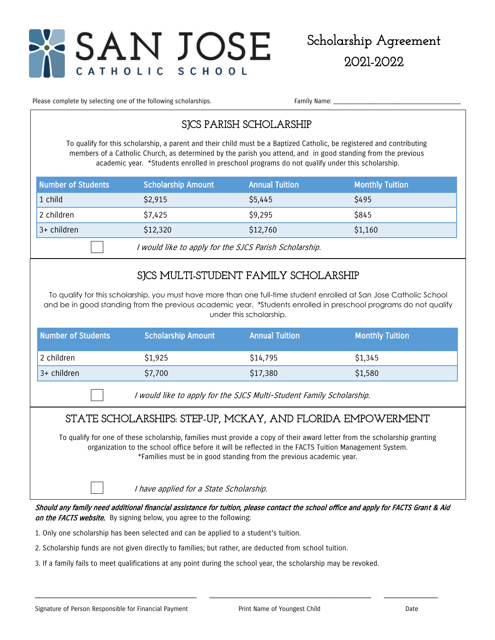

Scholarship Agreement 2021-2022

Please complete by selecting one of the following scholarships. Family Name: Family Name:

## SJCS PARISH SCHOLARSHIP

To qualify for this scholarship, a parent and their child must be a Baptized Catholic, be registered and contributing members of a Catholic Church, as determined by the parish you attend, and in good standing from the previous academic year. \*Students enrolled in preschool programs do not qualify under this scholarship.

| Number of Students | <b>Scholarship Amount</b> | <b>Annual Tuition</b> | <b>Monthly Tuition</b> |
|--------------------|---------------------------|-----------------------|------------------------|
| 1 child            | \$2,915                   | \$5,445               | S <sub>495</sub>       |
| 2 children         | \$7,425                   | \$9,295               | \$845                  |
| 3+ children        | \$12,320                  | \$12,760              | \$1,160                |

I would like to apply for the SJCS Parish Scholarship*.*

## SJCS MULTI-STUDENT FAMILY SCHOLARSHIP

To qualify for this scholarship, you must have more than one full-time student enrolled at San Jose Catholic School and be in good standing from the previous academic year. \*Students enrolled in preschool programs do not qualify under this scholarship.

| <b>Number of Students</b> | <b>Scholarship Amount</b> | <b>Annual Tuition</b> | <b>Monthly Tuition</b> |
|---------------------------|---------------------------|-----------------------|------------------------|
| 2 children                | \$1,925                   | \$14,795              | \$1,345                |
| $3+$ children             | \$7,700                   | \$17,380              | \$1,580                |

I would like to apply for the SJCS Multi-Student Family Scholarship*.*

## STATE SCHOLARSHIPS: STEP-UP, MCKAY, AND FLORIDA EMPOWERMENT

To qualify for one of these scholarship, families must provide a copy of their award letter from the scholarship granting organization to the school office before it will be reflected in the FACTS Tuition Management System. \*Families must be in good standing from the previous academic year.

I have applied for a State Scholarship.

Should any family need additional financial assistance for tuition, please contact the school office and apply for FACTS Grant & Aid on the FACTS website. By signing below, you agree to the following:

 $\mathcal{L}_\mathcal{L} = \{ \mathcal{L}_\mathcal{L} = \{ \mathcal{L}_\mathcal{L} = \{ \mathcal{L}_\mathcal{L} = \{ \mathcal{L}_\mathcal{L} = \{ \mathcal{L}_\mathcal{L} = \{ \mathcal{L}_\mathcal{L} = \{ \mathcal{L}_\mathcal{L} = \{ \mathcal{L}_\mathcal{L} = \{ \mathcal{L}_\mathcal{L} = \{ \mathcal{L}_\mathcal{L} = \{ \mathcal{L}_\mathcal{L} = \{ \mathcal{L}_\mathcal{L} = \{ \mathcal{L}_\mathcal{L} = \{ \mathcal{L}_\mathcal{$ 

1. Only one scholarship has been selected and can be applied to a student's tuition.

- 2. Scholarship funds are not given directly to families; but rather, are deducted from school tuition.
- 3. If a family fails to meet qualifications at any point during the school year, the scholarship may be revoked.